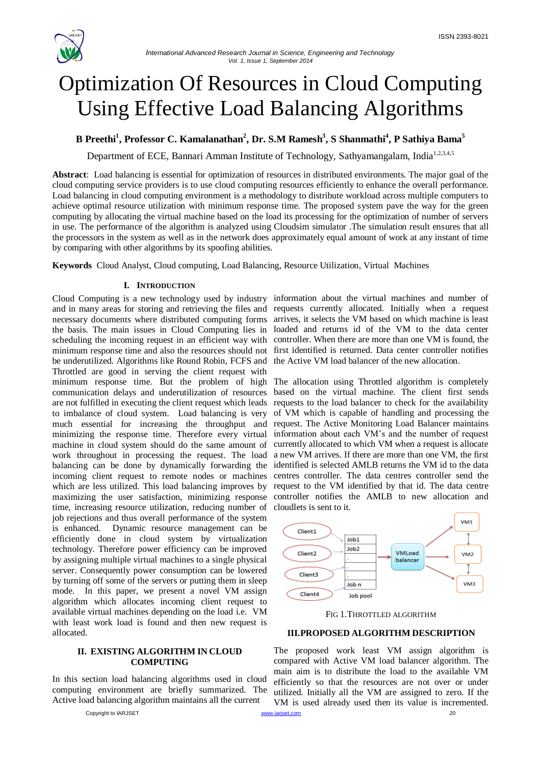

# Optimization Of Resources in Cloud Computing Using Effective Load Balancing Algorithms

## **B Preethi<sup>1</sup> , Professor C. Kamalanathan<sup>2</sup> , Dr. S.M Ramesh<sup>3</sup> , S Shanmathi<sup>4</sup> , P Sathiya Bama<sup>5</sup>**

Department of ECE, Bannari Amman Institute of Technology, Sathyamangalam, India<sup>1,2,3,4,5</sup>

**Abstract**: Load balancing is essential for optimization of resources in distributed environments. The major goal of the cloud computing service providers is to use cloud computing resources efficiently to enhance the overall performance. Load balancing in cloud computing environment is a methodology to distribute workload across multiple computers to achieve optimal resource utilization with minimum response time. The proposed system pave the way for the green computing by allocating the virtual machine based on the load its processing for the optimization of number of servers in use. The performance of the algorithm is analyzed using Cloudsim simulator .The simulation result ensures that all the processors in the system as well as in the network does approximately equal amount of work at any instant of time by comparing with other algorithms by its spoofing abilities.

**Keywords** Cloud Analyst, Cloud computing, Load Balancing, Resource Utilization, Virtual Machines

#### **I. INTRODUCTION**

Cloud Computing is a new technology used by industry information about the virtual machines and number of and in many areas for storing and retrieving the files and requests currently allocated. Initially when a request necessary documents where distributed computing forms the basis. The main issues in Cloud Computing lies in scheduling the incoming request in an efficient way with minimum response time and also the resources should not be underutilized. Algorithms like Round Robin, FCFS and Throttled are good in serving the client request with minimum response time. But the problem of high communication delays and underutilization of resources are not fulfilled in executing the client request which leads to imbalance of cloud system. Load balancing is very much essential for increasing the throughput and minimizing the response time. Therefore every virtual machine in cloud system should do the same amount of work throughout in processing the request. The load balancing can be done by dynamically forwarding the incoming client request to remote nodes or machines which are less utilized. This load balancing improves by maximizing the user satisfaction, minimizing response time, increasing resource utilization, reducing number of job rejections and thus overall performance of the system is enhanced. Dynamic resource management can be efficiently done in cloud system by virtualization technology. Therefore power efficiency can be improved by assigning multiple virtual machines to a single physical server. Consequently power consumption can be lowered by turning off some of the servers or putting them in sleep mode. In this paper, we present a novel VM assign algorithm which allocates incoming client request to available virtual machines depending on the load i.e. VM with least work load is found and then new request is allocated.

#### **II. EXISTING ALGORITHM IN CLOUD COMPUTING**

In this section load balancing algorithms used in cloud computing environment are briefly summarized. The Active load balancing algorithm maintains all the current

Copyright to IARJSET [www.iarjset.com](http://www.iarjset.com/) 20

arrives, it selects the VM based on which machine is least loaded and returns id of the VM to the data center controller. When there are more than one VM is found, the first identified is returned. Data center controller notifies the Active VM load balancer of the new allocation.

The allocation using Throttled algorithm is completely based on the virtual machine. The client first sends requests to the load balancer to check for the availability of VM which is capable of handling and processing the request. The Active Monitoring Load Balancer maintains information about each VM's and the number of request currently allocated to which VM when a request is allocate a new VM arrives. If there are more than one VM, the first identified is selected AMLB returns the VM id to the data centres controller. The data centres controller send the request to the VM identified by that id. The data centre controller notifies the AMLB to new allocation and cloudlets is sent to it.



FIG 1.THROTTLED ALGORITHM

## **III.PROPOSED ALGORITHM DESCRIPTION**

The proposed work least VM assign algorithm is compared with Active VM load balancer algorithm. The main aim is to distribute the load to the available VM efficiently so that the resources are not over or under utilized. Initially all the VM are assigned to zero. If the VM is used already used then its value is incremented.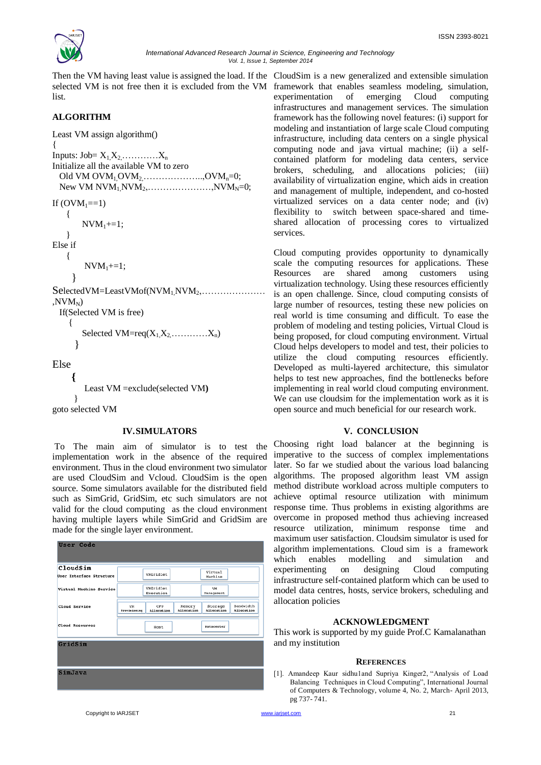

Then the VM having least value is assigned the load. If the CloudSim is a new generalized and extensible simulation selected VM is not free then it is excluded from the VM framework that enables seamless modeling, simulation, list.

## **ALGORITHM**

Least VM assign algorithm()

{ Inputs: Job=  $X_1X_2$  …  $X_n$ Initialize all the available VM to zero Old VM OVM<sub>1</sub> OVM<sub>2</sub>  $\ldots$ ... $\ldots$ ... $\ldots$ ... $\ldots$ OVM<sub>n</sub>=0; New VM  $NVM_1NVM_2$ , ... ... ... ... ... ... ,  $NVM_N=0$ ;

If  $(OVM_1==1)$  {  $NVM_1+=1;$ 

 } Else if

```
 {
```

```
NVM_1+=1:
```
 } SelectedVM=LeastVMof(NVM1,NVM2,…………………  $.$ NV $M_N$ ) If(Selected VM is free) {

Selected  $VM = \text{req}(X_1X_2\ldots\ldots\ldots X_n)$ 

}

Else

```
 {
       Least VM =exclude(selected VM)
 }
goto selected VM
```
### **IV.SIMULATORS**

To The main aim of simulator is to test the implementation work in the absence of the required environment. Thus in the cloud environment two simulator are used CloudSim and Vcloud. CloudSim is the open source. Some simulators available for the distributed field such as SimGrid, GridSim, etc such simulators are not valid for the cloud computing as the cloud environment having multiple layers while SimGrid and GridSim are made for the single layer environment.



experimentation of emerging Cloud computing infrastructures and management services. The simulation framework has the following novel features: (i) support for modeling and instantiation of large scale Cloud computing infrastructure, including data centers on a single physical computing node and java virtual machine; (ii) a selfcontained platform for modeling data centers, service brokers, scheduling, and allocations policies; (iii) availability of virtualization engine, which aids in creation and management of multiple, independent, and co-hosted virtualized services on a data center node; and (iv) flexibility to switch between space-shared and timeshared allocation of processing cores to virtualized services.

Cloud computing provides opportunity to dynamically scale the computing resources for applications. These Resources are shared among customers using virtualization technology. Using these resources efficiently is an open challenge. Since, cloud computing consists of large number of resources, testing these new policies on real world is time consuming and difficult. To ease the problem of modeling and testing policies, Virtual Cloud is being proposed, for cloud computing environment. Virtual Cloud helps developers to model and test, their policies to utilize the cloud computing resources efficiently. Developed as multi-layered architecture, this simulator helps to test new approaches, find the bottlenecks before implementing in real world cloud computing environment. We can use cloudsim for the implementation work as it is open source and much beneficial for our research work.

### **V. CONCLUSION**

Choosing right load balancer at the beginning is imperative to the success of complex implementations later. So far we studied about the various load balancing algorithms. The proposed algorithm least VM assign method distribute workload across multiple computers to achieve optimal resource utilization with minimum response time. Thus problems in existing algorithms are overcome in proposed method thus achieving increased resource utilization, minimum response time and maximum user satisfaction. Cloudsim simulator is used for algorithm implementations. Cloud sim is a framework which enables modelling and simulation and experimenting on designing Cloud computing infrastructure self-contained platform which can be used to model data centres, hosts, service brokers, scheduling and allocation policies

### **ACKNOWLEDGMENT**

This work is supported by my guide Prof.C Kamalanathan and my institution

#### **REFERENCES**

[1]. Amandeep Kaur sidhu1and Supriya Kinger2, "Analysis of Load Balancing Techniques in Cloud Computing", International Journal of Computers & Technology, volume 4, No. 2, March- April 2013, pg 737- 741.

Copyright to IARJSET **12.1 Community Construction** and the community of the community of the community of the community of the community of the community of the community of the community of the community of the community